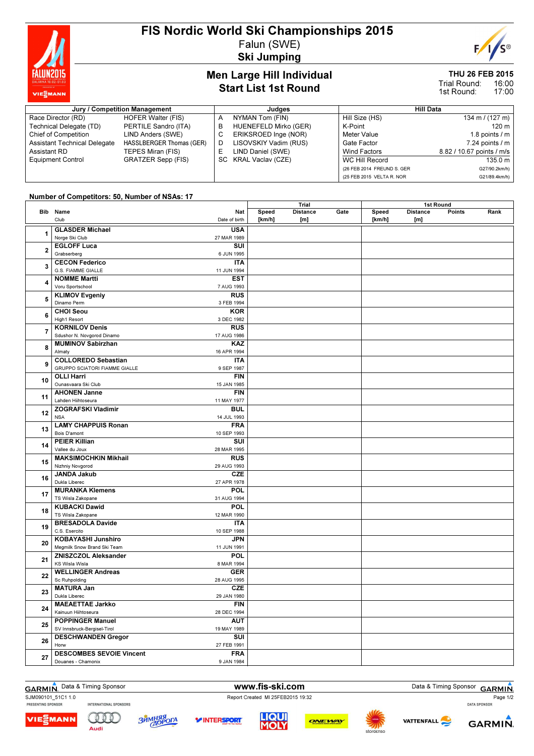

## FIS Nordic World Ski Championships 2015 Falun (SWE)

Ski Jumping

# E

### Men Large Hill Individual Start List 1st Round

## THU 26 FEB 2015

16:00 17:00 Trial Round: 1st Round:

| Jury / Competition Management       |                           |     | Judges                   | Hill Data                  |                           |
|-------------------------------------|---------------------------|-----|--------------------------|----------------------------|---------------------------|
| Race Director (RD)                  | <b>HOFER Walter (FIS)</b> | A   | NYMAN Tom (FIN)          | Hill Size (HS)             | 134 m / (127 m)           |
| Technical Delegate (TD)             | PERTILE Sandro (ITA)      | в   | HUENEFELD Mirko (GER)    | K-Point                    | 120 m                     |
| Chief of Competition                | LIND Anders (SWE)         |     | ERIKSROED Inge (NOR)     | Meter Value                | 1.8 points $/m$           |
| <b>Assistant Technical Delegate</b> | HASSLBERGER Thomas (GER)  |     | LISOVSKIY Vadim (RUS)    | Gate Factor                | $7.24$ points $/ m$       |
| Assistant RD                        | TEPES Miran (FIS)         | Е.  | LIND Daniel (SWE)        | Wind Factors               | 8.82 / 10.67 points / m/s |
| <b>Equipment Control</b>            | <b>GRATZER Sepp (FIS)</b> | SC. | <b>KRAL Vaclav (CZE)</b> | WC Hill Record             | 135.0 m                   |
|                                     |                           |     |                          | (26 FEB 2014 FREUND S. GER | G27/90.2km/h)             |
|                                     |                           |     |                          | (25 FEB 2015 VELTA R. NOR  | G21/89.4km/h)             |

 $\frac{1}{\sqrt{1-\frac{1}{2}}}$ 

## Number of Competitors: 50, Number of NSAs: 17

|                |                                                        |                             | Trial  |                 | 1st Round |        |                 |        |      |
|----------------|--------------------------------------------------------|-----------------------------|--------|-----------------|-----------|--------|-----------------|--------|------|
|                | Bib Name                                               | Nat                         | Speed  | <b>Distance</b> | Gate      | Speed  | <b>Distance</b> | Points | Rank |
|                | Club<br><b>GLASDER Michael</b>                         | Date of birth<br><b>USA</b> | [km/h] | [m]             |           | [km/h] | [m]             |        |      |
| 1              | Norge Ski Club                                         | 27 MAR 1989                 |        |                 |           |        |                 |        |      |
| $\mathbf 2$    | <b>EGLOFF Luca</b>                                     | SUI                         |        |                 |           |        |                 |        |      |
|                | Grabserberg                                            | 6 JUN 1995                  |        |                 |           |        |                 |        |      |
| 3              | <b>CECON Federico</b>                                  | <b>ITA</b>                  |        |                 |           |        |                 |        |      |
|                | G.S. FIAMME GIALLE<br><b>NOMME Martti</b>              | 11 JUN 1994<br><b>EST</b>   |        |                 |           |        |                 |        |      |
| 4              | Voru Sportschool                                       | 7 AUG 1993                  |        |                 |           |        |                 |        |      |
| 5              | <b>KLIMOV Evgeniy</b>                                  | <b>RUS</b>                  |        |                 |           |        |                 |        |      |
|                | Dinamo Perm                                            | 3 FEB 1994                  |        |                 |           |        |                 |        |      |
| 6              | <b>CHOI Seou</b>                                       | <b>KOR</b>                  |        |                 |           |        |                 |        |      |
|                | High1 Resort                                           | 3 DEC 1982                  |        |                 |           |        |                 |        |      |
| 7              | <b>KORNILOV Denis</b>                                  | <b>RUS</b><br>17 AUG 1986   |        |                 |           |        |                 |        |      |
|                | Sdushor N. Novgorod Dinamo<br><b>MUMINOV Sabirzhan</b> | KAZ                         |        |                 |           |        |                 |        |      |
| 8              | Almaty                                                 | 16 APR 1994                 |        |                 |           |        |                 |        |      |
|                | <b>COLLOREDO Sebastian</b>                             | <b>ITA</b>                  |        |                 |           |        |                 |        |      |
| 9              | <b>GRUPPO SCIATORI FIAMME GIALLE</b>                   | 9 SEP 1987                  |        |                 |           |        |                 |        |      |
| 10             | <b>OLLI Harri</b>                                      | <b>FIN</b>                  |        |                 |           |        |                 |        |      |
|                | Ounasvaara Ski Club                                    | 15 JAN 1985                 |        |                 |           |        |                 |        |      |
| 11             | <b>AHONEN Janne</b><br>Lahden Hiihtoseura              | <b>FIN</b><br>11 MAY 1977   |        |                 |           |        |                 |        |      |
|                | <b>ZOGRAFSKI Vladimir</b>                              | <b>BUL</b>                  |        |                 |           |        |                 |        |      |
| 12             | <b>NSA</b>                                             | 14 JUL 1993                 |        |                 |           |        |                 |        |      |
| 13             | <b>LAMY CHAPPUIS Ronan</b>                             | <b>FRA</b>                  |        |                 |           |        |                 |        |      |
|                | Bois D'amont                                           | 10 SEP 1993                 |        |                 |           |        |                 |        |      |
| 14             | <b>PEIER Killian</b>                                   | SUI                         |        |                 |           |        |                 |        |      |
|                | Vallee du Joux<br><b>MAKSIMOCHKIN Mikhail</b>          | 28 MAR 1995<br><b>RUS</b>   |        |                 |           |        |                 |        |      |
| 15             | Nizhniy Novgorod                                       | 29 AUG 1993                 |        |                 |           |        |                 |        |      |
|                | <b>JANDA Jakub</b>                                     | <b>CZE</b>                  |        |                 |           |        |                 |        |      |
| 16             | Dukla Liberec                                          | 27 APR 1978                 |        |                 |           |        |                 |        |      |
| 17             | <b>MURANKA Klemens</b>                                 | POL                         |        |                 |           |        |                 |        |      |
|                | TS Wisla Zakopane<br><b>KUBACKI Dawid</b>              | 31 AUG 1994                 |        |                 |           |        |                 |        |      |
| 18             | TS Wisla Zakopane                                      | POL<br>12 MAR 1990          |        |                 |           |        |                 |        |      |
|                | <b>BRESADOLA Davide</b>                                | <b>ITA</b>                  |        |                 |           |        |                 |        |      |
| 19             | C.S. Esercito                                          | 10 SEP 1988                 |        |                 |           |        |                 |        |      |
| 20             | <b>KOBAYASHI Junshiro</b>                              | JPN                         |        |                 |           |        |                 |        |      |
|                | Megmilk Snow Brand Ski Team                            | 11 JUN 1991                 |        |                 |           |        |                 |        |      |
| 21             | <b>ZNISZCZOL Aleksander</b><br><b>KS Wisla Wisla</b>   | <b>POL</b><br>8 MAR 1994    |        |                 |           |        |                 |        |      |
|                | <b>WELLINGER Andreas</b>                               | <b>GER</b>                  |        |                 |           |        |                 |        |      |
| 22             | Sc Ruhpolding                                          | 28 AUG 1995                 |        |                 |           |        |                 |        |      |
| 23<br>24<br>25 | <b>MATURA Jan</b>                                      | <b>CZE</b>                  |        |                 |           |        |                 |        |      |
|                | Dukla Liberec                                          | 29 JAN 1980                 |        |                 |           |        |                 |        |      |
|                | <b>MAEAETTAE Jarkko</b>                                | <b>FIN</b>                  |        |                 |           |        |                 |        |      |
|                | Kainuun Hiihtoseura<br><b>POPPINGER Manuel</b>         | 28 DEC 1994<br><b>AUT</b>   |        |                 |           |        |                 |        |      |
|                | SV Innsbruck-Bergisel-Tirol                            | 19 MAY 1989                 |        |                 |           |        |                 |        |      |
|                | <b>DESCHWANDEN Gregor</b>                              | SUI                         |        |                 |           |        |                 |        |      |
| 26             | Horw                                                   | 27 FEB 1991                 |        |                 |           |        |                 |        |      |
| 27             | <b>DESCOMBES SEVOIE Vincent</b>                        | <b>FRA</b>                  |        |                 |           |        |                 |        |      |
|                | Douanes - Chamonix                                     | 9 JAN 1984                  |        |                 |           |        |                 |        |      |

GARMIN. Data & Timing Sponsor **www.fis-ski.com** Data & Timing Sponsor GARMIN.

Audi

SJM090101\_51C1 1.0<br>
PRESENTING SPONSOR MITERNATIONAL SPONSORS<br>
PRESENTING SPONSOR INTERNATIONAL SPONSORS

VIEᢓMANN

COOO **ЗЙМНЯЯ** 

*V***INTERSPORT** 









Page 1/2